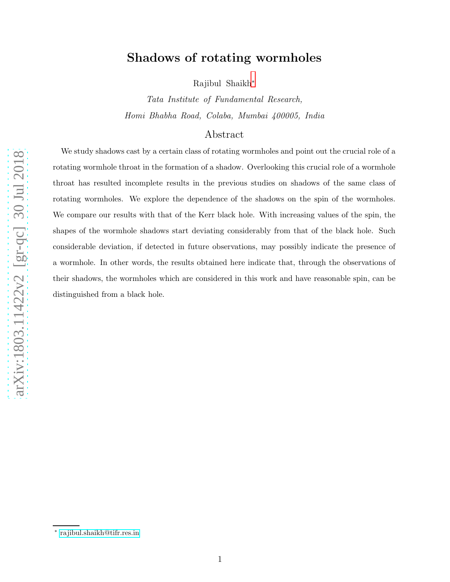# Shadows of rotating wormholes

Rajibul Shaikh [∗](#page-0-0)

Tata Institute of Fundamental Research, Homi Bhabha Road, Colaba, Mumbai 400005, India

# Abstract

We study shadows cast by a certain class of rotating wormholes and point out the crucial role of a rotating wormhole throat in the formation of a shadow. Overlooking this crucial role of a wormhole throat has resulted incomplete results in the previous studies on shadows of the same class of rotating wormholes. We explore the dependence of the shadows on the spin of the wormholes. We compare our results with that of the Kerr black hole. With increasing values of the spin, the shapes of the wormhole shadows start deviating considerably from that of the black hole. Such considerable deviation, if detected in future observations, may possibly indicate the presence of a wormhole. In other words, the results obtained here indicate that, through the observations of their shadows, the wormholes which are considered in this work and have reasonable spin, can be distinguished from a black hole.

<span id="page-0-0"></span><sup>∗</sup> [rajibul.shaikh@tifr.res.in](mailto:rajibul.shaikh@tifr.res.in)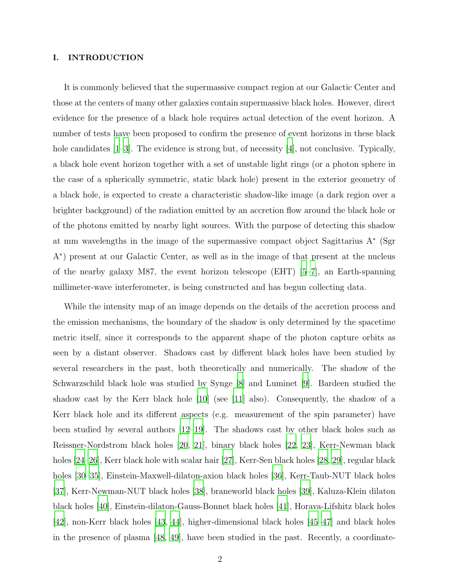## I. INTRODUCTION

It is commonly believed that the supermassive compact region at our Galactic Center and those at the centers of many other galaxies contain supermassive black holes. However, direct evidence for the presence of a black hole requires actual detection of the event horizon. A number of tests have been proposed to confirm the presence of event horizons in these black hole candidates [\[1](#page-14-0)[–3\]](#page-15-0). The evidence is strong but, of necessity [\[4](#page-15-1)], not conclusive. Typically, a black hole event horizon together with a set of unstable light rings (or a photon sphere in the case of a spherically symmetric, static black hole) present in the exterior geometry of a black hole, is expected to create a characteristic shadow-like image (a dark region over a brighter background) of the radiation emitted by an accretion flow around the black hole or of the photons emitted by nearby light sources. With the purpose of detecting this shadow at mm wavelengths in the image of the supermassive compact object Sagittarius A<sup>∗</sup> (Sgr A∗ ) present at our Galactic Center, as well as in the image of that present at the nucleus of the nearby galaxy M87, the event horizon telescope  $(EHT)$  [\[5](#page-15-2)[–7\]](#page-15-3), an Earth-spanning millimeter-wave interferometer, is being constructed and has begun collecting data.

While the intensity map of an image depends on the details of the accretion process and the emission mechanisms, the boundary of the shadow is only determined by the spacetime metric itself, since it corresponds to the apparent shape of the photon capture orbits as seen by a distant observer. Shadows cast by different black holes have been studied by several researchers in the past, both theoretically and numerically. The shadow of the Schwarzschild black hole was studied by Synge [\[8](#page-15-4)] and Luminet [\[9](#page-15-5)]. Bardeen studied the shadow cast by the Kerr black hole [\[10](#page-15-6)] (see [\[11\]](#page-15-7) also). Consequently, the shadow of a Kerr black hole and its different aspects (e.g. measurement of the spin parameter) have been studied by several authors [\[12](#page-15-8)[–19\]](#page-16-0). The shadows cast by other black holes such as Reissner-Nordstrom black holes [\[20,](#page-16-1) [21\]](#page-16-2), binary black holes [\[22,](#page-16-3) [23\]](#page-16-4), Kerr-Newman black holes [\[24](#page-16-5)[–26\]](#page-16-6), Kerr black hole with scalar hair [\[27](#page-16-7)], Kerr-Sen black holes [\[28](#page-16-8), [29\]](#page-16-9), regular black holes [\[30](#page-16-10)[–35](#page-17-0)], Einstein-Maxwell-dilaton-axion black holes [\[36\]](#page-17-1), Kerr-Taub-NUT black holes [\[37\]](#page-17-2), Kerr-Newman-NUT black holes [\[38\]](#page-17-3), braneworld black holes [\[39\]](#page-17-4), Kaluza-Klein dilaton black holes [\[40](#page-17-5)], Einstein-dilaton-Gauss-Bonnet black holes [\[41\]](#page-17-6), Horava-Lifshitz black holes [\[42\]](#page-17-7), non-Kerr black holes [\[43](#page-17-8), [44\]](#page-17-9), higher-dimensional black holes [\[45](#page-17-10)[–47](#page-17-11)] and black holes in the presence of plasma [\[48,](#page-17-12) [49](#page-18-0)], have been studied in the past. Recently, a coordinate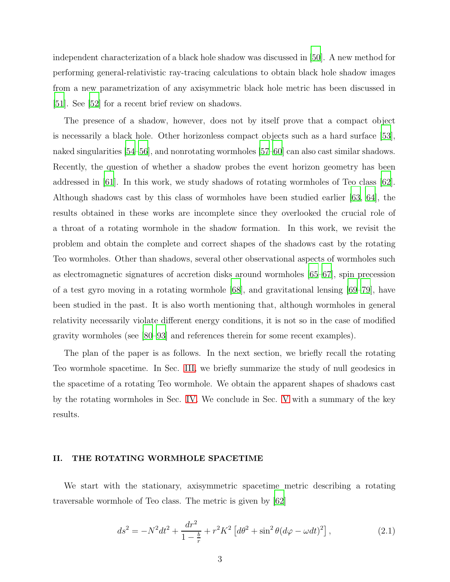independent characterization of a black hole shadow was discussed in [\[50](#page-18-1)]. A new method for performing general-relativistic ray-tracing calculations to obtain black hole shadow images from a new parametrization of any axisymmetric black hole metric has been discussed in [\[51\]](#page-18-2). See [\[52\]](#page-18-3) for a recent brief review on shadows.

The presence of a shadow, however, does not by itself prove that a compact object is necessarily a black hole. Other horizonless compact objects such as a hard surface [\[53\]](#page-18-4), naked singularities [\[54](#page-18-5)[–56](#page-18-6)], and nonrotating wormholes [\[57](#page-18-7)[–60\]](#page-18-8) can also cast similar shadows. Recently, the question of whether a shadow probes the event horizon geometry has been addressed in [\[61\]](#page-18-9). In this work, we study shadows of rotating wormholes of Teo class [\[62\]](#page-18-10). Although shadows cast by this class of wormholes have been studied earlier [\[63](#page-18-11), [64](#page-19-0)], the results obtained in these works are incomplete since they overlooked the crucial role of a throat of a rotating wormhole in the shadow formation. In this work, we revisit the problem and obtain the complete and correct shapes of the shadows cast by the rotating Teo wormholes. Other than shadows, several other observational aspects of wormholes such as electromagnetic signatures of accretion disks around wormholes [\[65](#page-19-1)[–67\]](#page-19-2), spin precession of a test gyro moving in a rotating wormhole  $[68]$ , and gravitational lensing  $[69–79]$  $[69–79]$ , have been studied in the past. It is also worth mentioning that, although wormholes in general relativity necessarily violate different energy conditions, it is not so in the case of modified gravity wormholes (see [\[80](#page-20-0)[–93](#page-20-1)] and references therein for some recent examples).

The plan of the paper is as follows. In the next section, we briefly recall the rotating Teo wormhole spacetime. In Sec. [III,](#page-5-0) we briefly summarize the study of null geodesics in the spacetime of a rotating Teo wormhole. We obtain the apparent shapes of shadows cast by the rotating wormholes in Sec. [IV.](#page-7-0) We conclude in Sec. [V](#page-12-0) with a summary of the key results.

## II. THE ROTATING WORMHOLE SPACETIME

We start with the stationary, axisymmetric spacetime metric describing a rotating traversable wormhole of Teo class. The metric is given by [\[62](#page-18-10)]

<span id="page-2-0"></span>
$$
ds^{2} = -N^{2}dt^{2} + \frac{dr^{2}}{1 - \frac{b}{r}} + r^{2}K^{2} \left[d\theta^{2} + \sin^{2}\theta (d\varphi - \omega dt)^{2}\right],
$$
 (2.1)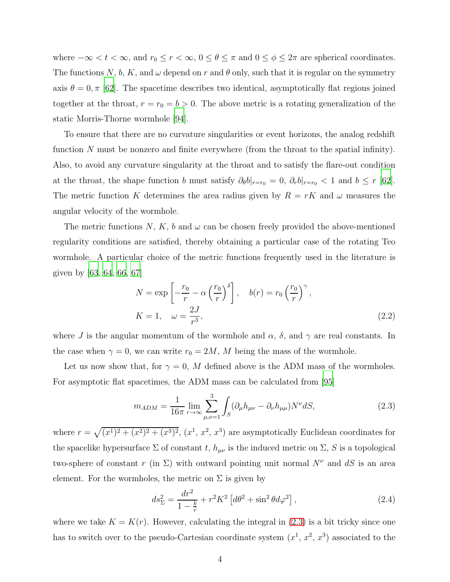where  $-\infty < t < \infty$ , and  $r_0 \le r < \infty$ ,  $0 \le \theta \le \pi$  and  $0 \le \phi \le 2\pi$  are spherical coordinates. The functions N, b, K, and  $\omega$  depend on r and  $\theta$  only, such that it is regular on the symmetry axis  $\theta = 0, \pi$  [\[62\]](#page-18-10). The spacetime describes two identical, asymptotically flat regions joined together at the throat,  $r = r_0 = b > 0$ . The above metric is a rotating generalization of the static Morris-Thorne wormhole [\[94](#page-20-2)].

To ensure that there are no curvature singularities or event horizons, the analog redshift function N must be nonzero and finite everywhere (from the throat to the spatial infinity). Also, to avoid any curvature singularity at the throat and to satisfy the flare-out condition at the throat, the shape function b must satisfy  $\partial_{\theta}b|_{r=r_0} = 0$ ,  $\partial_{r}b|_{r=r_0} < 1$  and  $b \leq r$  [\[62\]](#page-18-10). The metric function K determines the area radius given by  $R = rK$  and  $\omega$  measures the angular velocity of the wormhole.

The metric functions N, K, b and  $\omega$  can be chosen freely provided the above-mentioned regularity conditions are satisfied, thereby obtaining a particular case of the rotating Teo wormhole. A particular choice of the metric functions frequently used in the literature is given by  $[63, 64, 66, 67]$  $[63, 64, 66, 67]$  $[63, 64, 66, 67]$  $[63, 64, 66, 67]$  $[63, 64, 66, 67]$ 

<span id="page-3-1"></span>
$$
N = \exp\left[-\frac{r_0}{r} - \alpha \left(\frac{r_0}{r}\right)^{\delta}\right], \quad b(r) = r_0 \left(\frac{r_0}{r}\right)^{\gamma},
$$
  

$$
K = 1, \quad \omega = \frac{2J}{r^3},
$$
 (2.2)

where J is the angular momentum of the wormhole and  $\alpha$ ,  $\delta$ , and  $\gamma$  are real constants. In the case when  $\gamma = 0$ , we can write  $r_0 = 2M$ , M being the mass of the wormhole.

Let us now show that, for  $\gamma = 0$ , M defined above is the ADM mass of the wormholes. For asymptotic flat spacetimes, the ADM mass can be calculated from [\[95\]](#page-20-3)

<span id="page-3-0"></span>
$$
m_{ADM} = \frac{1}{16\pi} \lim_{r \to \infty} \sum_{\mu,\nu=1}^{3} \int_{S} (\partial_{\mu} h_{\mu\nu} - \partial_{\nu} h_{\mu\mu}) N^{\nu} dS,
$$
 (2.3)

where  $r = \sqrt{(x^1)^2 + (x^2)^2 + (x^3)^2}$ ,  $(x^1, x^2, x^3)$  are asymptotically Euclidean coordinates for the spacelike hypersurface  $\Sigma$  of constant t,  $h_{\mu\nu}$  is the induced metric on  $\Sigma$ , S is a topological two-sphere of constant r (in  $\Sigma$ ) with outward pointing unit normal  $N^{\nu}$  and dS is an area element. For the wormholes, the metric on  $\Sigma$  is given by

$$
ds_{\Sigma}^{2} = \frac{dr^{2}}{1 - \frac{b}{r}} + r^{2} K^{2} \left[ d\theta^{2} + \sin^{2} \theta d\varphi^{2} \right],
$$
 (2.4)

where we take  $K = K(r)$ . However, calculating the integral in [\(2.3\)](#page-3-0) is a bit tricky since one has to switch over to the pseudo-Cartesian coordinate system  $(x^1, x^2, x^3)$  associated to the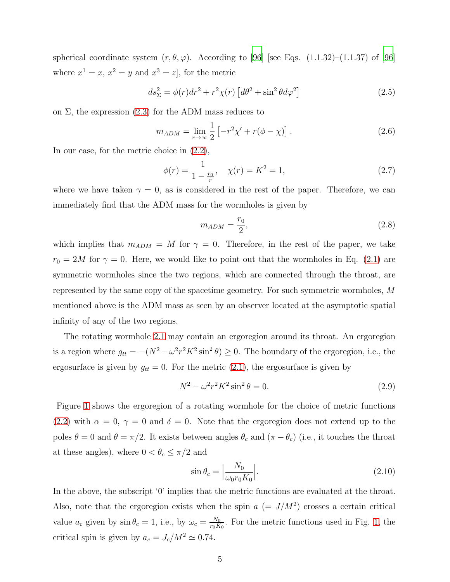spherical coordinate system  $(r, \theta, \varphi)$ . According to [\[96\]](#page-21-0) [see Eqs. (1.1.32)–(1.1.37) of [96] where  $x^1 = x$ ,  $x^2 = y$  and  $x^3 = z$ , for the metric

$$
ds_{\Sigma}^2 = \phi(r)dr^2 + r^2\chi(r)\left[d\theta^2 + \sin^2\theta d\varphi^2\right]
$$
 (2.5)

on  $\Sigma$ , the expression [\(2.3\)](#page-3-0) for the ADM mass reduces to

$$
m_{ADM} = \lim_{r \to \infty} \frac{1}{2} \left[ -r^2 \chi' + r(\phi - \chi) \right].
$$
 (2.6)

In our case, for the metric choice in [\(2.2\)](#page-3-1),

$$
\phi(r) = \frac{1}{1 - \frac{r_0}{r}}, \quad \chi(r) = K^2 = 1,\tag{2.7}
$$

where we have taken  $\gamma = 0$ , as is considered in the rest of the paper. Therefore, we can immediately find that the ADM mass for the wormholes is given by

$$
m_{ADM} = \frac{r_0}{2},\tag{2.8}
$$

which implies that  $m_{ADM} = M$  for  $\gamma = 0$ . Therefore, in the rest of the paper, we take  $r_0 = 2M$  for  $\gamma = 0$ . Here, we would like to point out that the wormholes in Eq. [\(2.1\)](#page-2-0) are symmetric wormholes since the two regions, which are connected through the throat, are represented by the same copy of the spacetime geometry. For such symmetric wormholes, M mentioned above is the ADM mass as seen by an observer located at the asymptotic spatial infinity of any of the two regions.

The rotating wormhole [2.1](#page-2-0) may contain an ergoregion around its throat. An ergoregion is a region where  $g_{tt} = -(N^2 - \omega^2 r^2 K^2 \sin^2 \theta) \ge 0$ . The boundary of the ergoregion, i.e., the ergosurface is given by  $g_{tt} = 0$ . For the metric [\(2.1\)](#page-2-0), the ergosurface is given by

$$
N^2 - \omega^2 r^2 K^2 \sin^2 \theta = 0.
$$
 (2.9)

Figure [1](#page-5-1) shows the ergoregion of a rotating wormhole for the choice of metric functions [\(2.2\)](#page-3-1) with  $\alpha = 0, \gamma = 0$  and  $\delta = 0$ . Note that the ergoregion does not extend up to the poles  $\theta = 0$  and  $\theta = \pi/2$ . It exists between angles  $\theta_c$  and  $(\pi - \theta_c)$  (i.e., it touches the throat at these angles), where  $0 < \theta_c \leq \pi/2$  and

$$
\sin \theta_c = \left| \frac{N_0}{\omega_0 r_0 K_0} \right|.
$$
\n(2.10)

In the above, the subscript '0' implies that the metric functions are evaluated at the throat. Also, note that the ergoregion exists when the spin  $a (= J/M^2)$  crosses a certain critical value  $a_c$  given by  $\sin \theta_c = 1$ , i.e., by  $\omega_c = \frac{N_0}{r_0 K}$  $\frac{N_0}{r_0K_0}$ . For the metric functions used in Fig. [1,](#page-5-1) the critical spin is given by  $a_c = J_c/M^2 \simeq 0.74$ .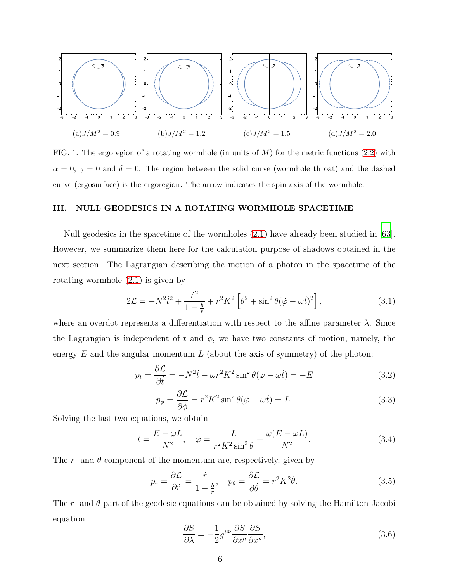

<span id="page-5-1"></span>FIG. 1. The ergoregion of a rotating wormhole (in units of  $M$ ) for the metric functions [\(2.2\)](#page-3-1) with  $\alpha = 0, \gamma = 0$  and  $\delta = 0$ . The region between the solid curve (wormhole throat) and the dashed curve (ergosurface) is the ergoregion. The arrow indicates the spin axis of the wormhole.

# <span id="page-5-0"></span>III. NULL GEODESICS IN A ROTATING WORMHOLE SPACETIME

Null geodesics in the spacetime of the wormholes [\(2.1\)](#page-2-0) have already been studied in [\[63\]](#page-18-11). However, we summarize them here for the calculation purpose of shadows obtained in the next section. The Lagrangian describing the motion of a photon in the spacetime of the rotating wormhole [\(2.1\)](#page-2-0) is given by

$$
2\mathcal{L} = -N^2\dot{t}^2 + \frac{\dot{r}^2}{1 - \frac{b}{r}} + r^2K^2 \left[\dot{\theta}^2 + \sin^2\theta(\dot{\varphi} - \omega t)^2\right],\tag{3.1}
$$

where an overdot represents a differentiation with respect to the affine parameter  $\lambda$ . Since the Lagrangian is independent of t and  $\phi$ , we have two constants of motion, namely, the energy  $E$  and the angular momentum  $L$  (about the axis of symmetry) of the photon:

$$
p_t = \frac{\partial \mathcal{L}}{\partial \dot{t}} = -N^2 \dot{t} - \omega r^2 K^2 \sin^2 \theta (\dot{\varphi} - \omega \dot{t}) = -E \tag{3.2}
$$

$$
p_{\phi} = \frac{\partial \mathcal{L}}{\partial \dot{\phi}} = r^2 K^2 \sin^2 \theta (\dot{\varphi} - \omega \dot{t}) = L. \tag{3.3}
$$

Solving the last two equations, we obtain

$$
\dot{t} = \frac{E - \omega L}{N^2}, \quad \dot{\varphi} = \frac{L}{r^2 K^2 \sin^2 \theta} + \frac{\omega (E - \omega L)}{N^2}.
$$
\n(3.4)

The r- and  $\theta$ -component of the momentum are, respectively, given by

<span id="page-5-3"></span>
$$
p_r = \frac{\partial \mathcal{L}}{\partial \dot{r}} = \frac{\dot{r}}{1 - \frac{b}{r}}, \quad p_\theta = \frac{\partial \mathcal{L}}{\partial \dot{\theta}} = r^2 K^2 \dot{\theta}.
$$
 (3.5)

The r- and θ-part of the geodesic equations can be obtained by solving the Hamilton-Jacobi equation

<span id="page-5-2"></span>
$$
\frac{\partial S}{\partial \lambda} = -\frac{1}{2} g^{\mu\nu} \frac{\partial S}{\partial x^{\mu}} \frac{\partial S}{\partial x^{\nu}},\tag{3.6}
$$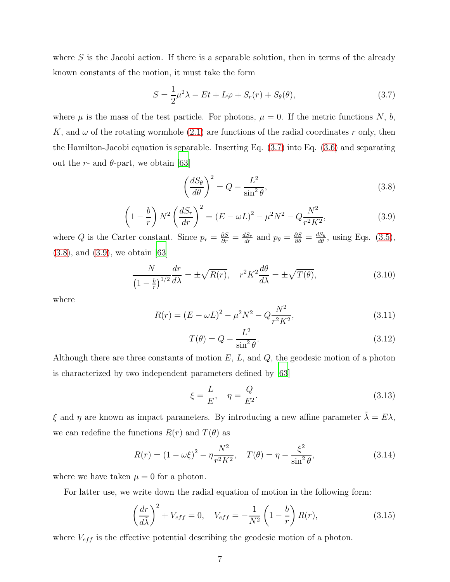where  $S$  is the Jacobi action. If there is a separable solution, then in terms of the already known constants of the motion, it must take the form

<span id="page-6-0"></span>
$$
S = \frac{1}{2}\mu^2 \lambda - Et + L\varphi + S_r(r) + S_\theta(\theta),\tag{3.7}
$$

where  $\mu$  is the mass of the test particle. For photons,  $\mu = 0$ . If the metric functions N, b, K, and  $\omega$  of the rotating wormhole [\(2.1\)](#page-2-0) are functions of the radial coordinates r only, then the Hamilton-Jacobi equation is separable. Inserting Eq. [\(3.7\)](#page-6-0) into Eq. [\(3.6\)](#page-5-2) and separating out the r- and  $\theta$ -part, we obtain [\[63](#page-18-11)]

<span id="page-6-1"></span>
$$
\left(\frac{dS_{\theta}}{d\theta}\right)^{2} = Q - \frac{L^{2}}{\sin^{2}\theta},\tag{3.8}
$$

<span id="page-6-2"></span>
$$
\left(1 - \frac{b}{r}\right) N^2 \left(\frac{dS_r}{dr}\right)^2 = \left(E - \omega L\right)^2 - \mu^2 N^2 - Q \frac{N^2}{r^2 K^2},\tag{3.9}
$$

where Q is the Carter constant. Since  $p_r = \frac{\partial S}{\partial r} = \frac{dS_r}{dr}$  and  $p_\theta = \frac{\partial S}{\partial \theta} = \frac{dS_\theta}{d\theta}$ , using Eqs. [\(3.5\)](#page-5-3), [\(3.8\)](#page-6-1), and [\(3.9\)](#page-6-2), we obtain [\[63\]](#page-18-11)

$$
\frac{N}{\left(1-\frac{b}{r}\right)^{1/2}}\frac{dr}{d\lambda} = \pm\sqrt{R(r)}, \quad r^2 K^2 \frac{d\theta}{d\lambda} = \pm\sqrt{T(\theta)},\tag{3.10}
$$

where

$$
R(r) = (E - \omega L)^2 - \mu^2 N^2 - Q \frac{N^2}{r^2 K^2},
$$
\n(3.11)

$$
T(\theta) = Q - \frac{L^2}{\sin^2 \theta}.
$$
\n(3.12)

Although there are three constants of motion  $E$ ,  $L$ , and  $Q$ , the geodesic motion of a photon is characterized by two independent parameters defined by [\[63\]](#page-18-11)

$$
\xi = \frac{L}{E}, \quad \eta = \frac{Q}{E^2}.\tag{3.13}
$$

ξ and η are known as impact parameters. By introducing a new affine parameter  $\tilde{\lambda} = E\lambda$ , we can redefine the functions  $R(r)$  and  $T(\theta)$  as

$$
R(r) = (1 - \omega \xi)^2 - \eta \frac{N^2}{r^2 K^2}, \quad T(\theta) = \eta - \frac{\xi^2}{\sin^2 \theta}, \tag{3.14}
$$

where we have taken  $\mu = 0$  for a photon.

For latter use, we write down the radial equation of motion in the following form:

<span id="page-6-3"></span>
$$
\left(\frac{dr}{d\tilde{\lambda}}\right)^2 + V_{eff} = 0, \quad V_{eff} = -\frac{1}{N^2} \left(1 - \frac{b}{r}\right) R(r),\tag{3.15}
$$

where  $V_{eff}$  is the effective potential describing the geodesic motion of a photon.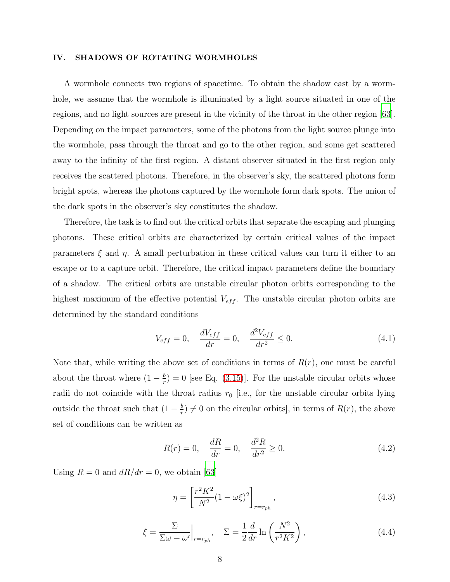#### <span id="page-7-0"></span>IV. SHADOWS OF ROTATING WORMHOLES

A wormhole connects two regions of spacetime. To obtain the shadow cast by a wormhole, we assume that the wormhole is illuminated by a light source situated in one of the regions, and no light sources are present in the vicinity of the throat in the other region [\[63\]](#page-18-11). Depending on the impact parameters, some of the photons from the light source plunge into the wormhole, pass through the throat and go to the other region, and some get scattered away to the infinity of the first region. A distant observer situated in the first region only receives the scattered photons. Therefore, in the observer's sky, the scattered photons form bright spots, whereas the photons captured by the wormhole form dark spots. The union of the dark spots in the observer's sky constitutes the shadow.

Therefore, the task is to find out the critical orbits that separate the escaping and plunging photons. These critical orbits are characterized by certain critical values of the impact parameters  $\xi$  and  $\eta$ . A small perturbation in these critical values can turn it either to an escape or to a capture orbit. Therefore, the critical impact parameters define the boundary of a shadow. The critical orbits are unstable circular photon orbits corresponding to the highest maximum of the effective potential  $V_{eff}$ . The unstable circular photon orbits are determined by the standard conditions

<span id="page-7-1"></span>
$$
V_{eff} = 0, \quad \frac{dV_{eff}}{dr} = 0, \quad \frac{d^2V_{eff}}{dr^2} \le 0.
$$
 (4.1)

Note that, while writing the above set of conditions in terms of  $R(r)$ , one must be careful about the throat where  $(1-\frac{b}{r})$  $\frac{b}{r}$  = 0 [see Eq. [\(3.15\)](#page-6-3)]. For the unstable circular orbits whose radii do not coincide with the throat radius  $r_0$  [i.e., for the unstable circular orbits lying outside the throat such that  $(1 - \frac{b}{r})$  $\frac{b}{r} \neq 0$  on the circular orbits], in terms of  $R(r)$ , the above set of conditions can be written as

<span id="page-7-2"></span>
$$
R(r) = 0, \quad \frac{dR}{dr} = 0, \quad \frac{d^2R}{dr^2} \ge 0.
$$
 (4.2)

Using  $R = 0$  and  $dR/dr = 0$ , we obtain [\[63](#page-18-11)]

<span id="page-7-3"></span>
$$
\eta = \left[\frac{r^2 K^2}{N^2} (1 - \omega \xi)^2\right]_{r = r_{ph}},
$$
\n(4.3)

<span id="page-7-4"></span>
$$
\xi = \frac{\Sigma}{\Sigma \omega - \omega'} \Big|_{r = r_{ph}}, \quad \Sigma = \frac{1}{2} \frac{d}{dr} \ln \left( \frac{N^2}{r^2 K^2} \right), \tag{4.4}
$$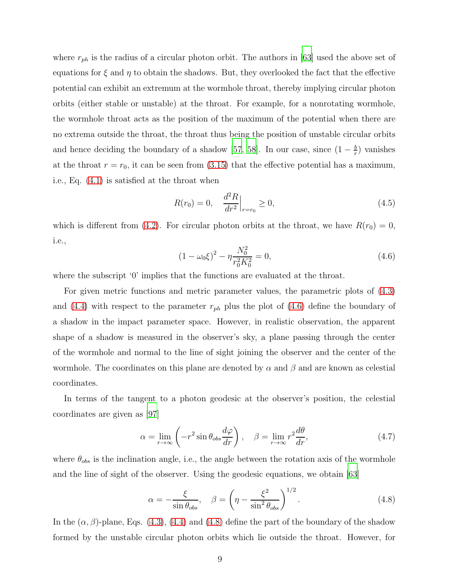where  $r_{ph}$  is the radius of a circular photon orbit. The authors in [\[63\]](#page-18-11) used the above set of equations for  $\xi$  and  $\eta$  to obtain the shadows. But, they overlooked the fact that the effective potential can exhibit an extremum at the wormhole throat, thereby implying circular photon orbits (either stable or unstable) at the throat. For example, for a nonrotating wormhole, the wormhole throat acts as the position of the maximum of the potential when there are no extrema outside the throat, the throat thus being the position of unstable circular orbits and hence deciding the boundary of a shadow [\[57](#page-18-7), [58](#page-18-12)]. In our case, since  $(1 - \frac{b}{r})$  $\frac{b}{r}$ ) vanishes at the throat  $r = r_0$ , it can be seen from [\(3.15\)](#page-6-3) that the effective potential has a maximum, i.e., Eq. [\(4.1\)](#page-7-1) is satisfied at the throat when

$$
R(r_0) = 0, \quad \frac{d^2 R}{dr^2}\Big|_{r=r_0} \ge 0,
$$
\n(4.5)

which is different from [\(4.2\)](#page-7-2). For circular photon orbits at the throat, we have  $R(r_0) = 0$ , i.e.,

<span id="page-8-0"></span>
$$
(1 - \omega_0 \xi)^2 - \eta \frac{N_0^2}{r_0^2 K_0^2} = 0,
$$
\n(4.6)

where the subscript '0' implies that the functions are evaluated at the throat.

For given metric functions and metric parameter values, the parametric plots of  $(4.3)$ and [\(4.4\)](#page-7-4) with respect to the parameter  $r_{ph}$  plus the plot of [\(4.6\)](#page-8-0) define the boundary of a shadow in the impact parameter space. However, in realistic observation, the apparent shape of a shadow is measured in the observer's sky, a plane passing through the center of the wormhole and normal to the line of sight joining the observer and the center of the wormhole. The coordinates on this plane are denoted by  $\alpha$  and  $\beta$  and are known as celestial coordinates.

In terms of the tangent to a photon geodesic at the observer's position, the celestial coordinates are given as [\[97\]](#page-21-1)

$$
\alpha = \lim_{r \to \infty} \left( -r^2 \sin \theta_{obs} \frac{d\varphi}{dr} \right), \quad \beta = \lim_{r \to \infty} r^2 \frac{d\theta}{dr}, \tag{4.7}
$$

where  $\theta_{obs}$  is the inclination angle, i.e., the angle between the rotation axis of the wormhole and the line of sight of the observer. Using the geodesic equations, we obtain [\[63](#page-18-11)]

<span id="page-8-1"></span>
$$
\alpha = -\frac{\xi}{\sin \theta_{obs}}, \quad \beta = \left(\eta - \frac{\xi^2}{\sin^2 \theta_{obs}}\right)^{1/2}.
$$
 (4.8)

In the  $(\alpha, \beta)$ -plane, Eqs. [\(4.3\)](#page-7-3), [\(4.4\)](#page-7-4) and [\(4.8\)](#page-8-1) define the part of the boundary of the shadow formed by the unstable circular photon orbits which lie outside the throat. However, for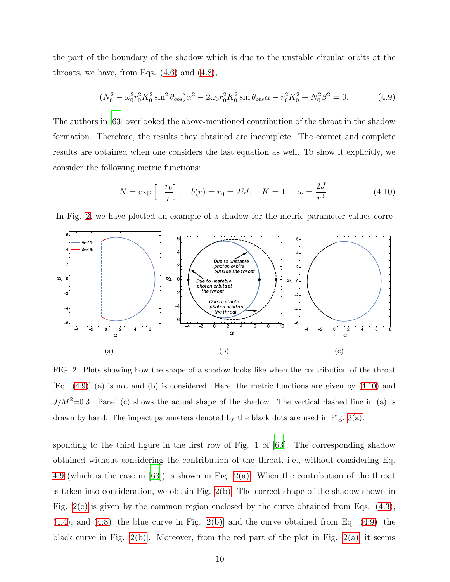the part of the boundary of the shadow which is due to the unstable circular orbits at the throats, we have, from Eqs.  $(4.6)$  and  $(4.8)$ ,

<span id="page-9-1"></span>
$$
(N_0^2 - \omega_0^2 r_0^2 K_0^2 \sin^2 \theta_{obs})\alpha^2 - 2\omega_0 r_0^2 K_0^2 \sin \theta_{obs} \alpha - r_0^2 K_0^2 + N_0^2 \beta^2 = 0.
$$
 (4.9)

The authors in [\[63\]](#page-18-11) overlooked the above-mentioned contribution of the throat in the shadow formation. Therefore, the results they obtained are incomplete. The correct and complete results are obtained when one considers the last equation as well. To show it explicitly, we consider the following metric functions:

<span id="page-9-5"></span><span id="page-9-2"></span>
$$
N = \exp\left[-\frac{r_0}{r}\right], \quad b(r) = r_0 = 2M, \quad K = 1, \quad \omega = \frac{2J}{r^3}.
$$
 (4.10)

<span id="page-9-3"></span>In Fig. [2,](#page-9-0) we have plotted an example of a shadow for the metric parameter values corre-



<span id="page-9-4"></span><span id="page-9-0"></span>FIG. 2. Plots showing how the shape of a shadow looks like when the contribution of the throat [Eq. [\(4.9\)](#page-9-1)] (a) is not and (b) is considered. Here, the metric functions are given by [\(4.10\)](#page-9-2) and  $J/M^2=0.3$ . Panel (c) shows the actual shape of the shadow. The vertical dashed line in (a) is drawn by hand. The impact parameters denoted by the black dots are used in Fig. [3\(a\).](#page-11-0)

sponding to the third figure in the first row of Fig. 1 of [\[63](#page-18-11)]. The corresponding shadow obtained without considering the contribution of the throat, i.e., without considering Eq. [4.9](#page-9-1) (which is the case in [\[63](#page-18-11)]) is shown in Fig. [2\(a\).](#page-9-3) When the contribution of the throat is taken into consideration, we obtain Fig. [2\(b\).](#page-9-4) The correct shape of the shadow shown in Fig. [2\(c\)](#page-9-5) is given by the common region enclosed by the curve obtained from Eqs. [\(4.3\)](#page-7-3),  $(4.4)$ , and  $(4.8)$  [the blue curve in Fig. [2\(b\)\]](#page-9-4) and the curve obtained from Eq.  $(4.9)$  [the black curve in Fig.  $2(b)$ . Moreover, from the red part of the plot in Fig.  $2(a)$ , it seems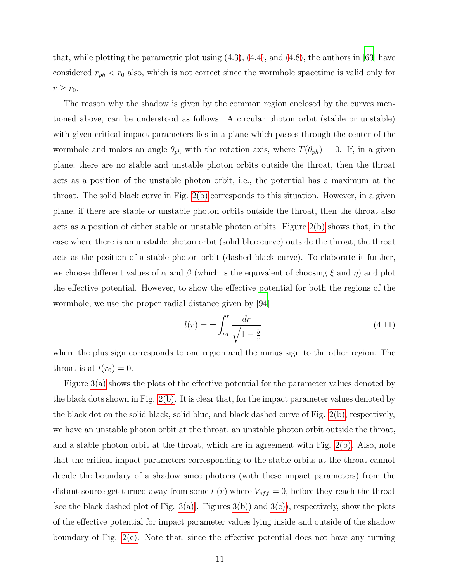that, while plotting the parametric plot using  $(4.3)$ ,  $(4.4)$ , and  $(4.8)$ , the authors in [\[63\]](#page-18-11) have considered  $r_{ph} < r_0$  also, which is not correct since the wormhole spacetime is valid only for  $r \geq r_0$ .

The reason why the shadow is given by the common region enclosed by the curves mentioned above, can be understood as follows. A circular photon orbit (stable or unstable) with given critical impact parameters lies in a plane which passes through the center of the wormhole and makes an angle  $\theta_{ph}$  with the rotation axis, where  $T(\theta_{ph}) = 0$ . If, in a given plane, there are no stable and unstable photon orbits outside the throat, then the throat acts as a position of the unstable photon orbit, i.e., the potential has a maximum at the throat. The solid black curve in Fig. [2\(b\)](#page-9-4) corresponds to this situation. However, in a given plane, if there are stable or unstable photon orbits outside the throat, then the throat also acts as a position of either stable or unstable photon orbits. Figure [2\(b\)](#page-9-4) shows that, in the case where there is an unstable photon orbit (solid blue curve) outside the throat, the throat acts as the position of a stable photon orbit (dashed black curve). To elaborate it further, we choose different values of  $\alpha$  and  $\beta$  (which is the equivalent of choosing  $\xi$  and  $\eta$ ) and plot the effective potential. However, to show the effective potential for both the regions of the wormhole, we use the proper radial distance given by [\[94\]](#page-20-2)

$$
l(r) = \pm \int_{r_0}^{r} \frac{dr}{\sqrt{1 - \frac{b}{r}}},
$$
\n(4.11)

where the plus sign corresponds to one region and the minus sign to the other region. The throat is at  $l(r_0) = 0$ .

Figure [3\(a\)](#page-11-0) shows the plots of the effective potential for the parameter values denoted by the black dots shown in Fig. [2\(b\).](#page-9-4) It is clear that, for the impact parameter values denoted by the black dot on the solid black, solid blue, and black dashed curve of Fig. [2\(b\),](#page-9-4) respectively, we have an unstable photon orbit at the throat, an unstable photon orbit outside the throat, and a stable photon orbit at the throat, which are in agreement with Fig. [2\(b\).](#page-9-4) Also, note that the critical impact parameters corresponding to the stable orbits at the throat cannot decide the boundary of a shadow since photons (with these impact parameters) from the distant source get turned away from some  $l(r)$  where  $V_{eff} = 0$ , before they reach the throat [see the black dashed plot of Fig.  $3(a)$ ]. Figures  $3(b)$  and  $3(c)$ , respectively, show the plots of the effective potential for impact parameter values lying inside and outside of the shadow boundary of Fig. [2\(c\).](#page-9-5) Note that, since the effective potential does not have any turning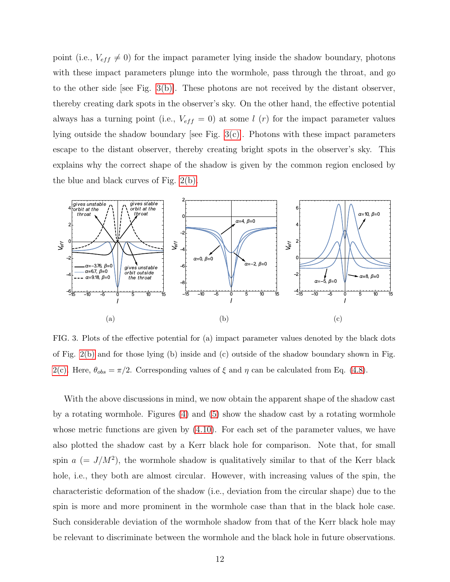point (i.e.,  $V_{eff} \neq 0$ ) for the impact parameter lying inside the shadow boundary, photons with these impact parameters plunge into the wormhole, pass through the throat, and go to the other side [see Fig.  $3(b)$ ]. These photons are not received by the distant observer, thereby creating dark spots in the observer's sky. On the other hand, the effective potential always has a turning point (i.e.,  $V_{eff} = 0$ ) at some l (r) for the impact parameter values lying outside the shadow boundary [see Fig.  $3(c)$ ]. Photons with these impact parameters escape to the distant observer, thereby creating bright spots in the observer's sky. This explains why the correct shape of the shadow is given by the common region enclosed by the blue and black curves of Fig. [2\(b\).](#page-9-4)

<span id="page-11-0"></span>

<span id="page-11-2"></span><span id="page-11-1"></span>FIG. 3. Plots of the effective potential for (a) impact parameter values denoted by the black dots of Fig. [2\(b\)](#page-9-4) and for those lying (b) inside and (c) outside of the shadow boundary shown in Fig. [2\(c\).](#page-9-5) Here,  $\theta_{obs} = \pi/2$ . Corresponding values of  $\xi$  and  $\eta$  can be calculated from Eq. [\(4.8\)](#page-8-1).

With the above discussions in mind, we now obtain the apparent shape of the shadow cast by a rotating wormhole. Figures [\(4\)](#page-12-1) and [\(5\)](#page-13-0) show the shadow cast by a rotating wormhole whose metric functions are given by  $(4.10)$ . For each set of the parameter values, we have also plotted the shadow cast by a Kerr black hole for comparison. Note that, for small spin  $a = J/M^2$ , the wormhole shadow is qualitatively similar to that of the Kerr black hole, i.e., they both are almost circular. However, with increasing values of the spin, the characteristic deformation of the shadow (i.e., deviation from the circular shape) due to the spin is more and more prominent in the wormhole case than that in the black hole case. Such considerable deviation of the wormhole shadow from that of the Kerr black hole may be relevant to discriminate between the wormhole and the black hole in future observations.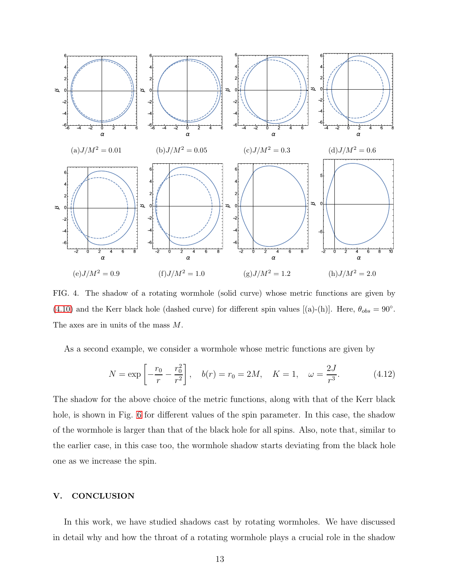

<span id="page-12-1"></span>FIG. 4. The shadow of a rotating wormhole (solid curve) whose metric functions are given by [\(4.10\)](#page-9-2) and the Kerr black hole (dashed curve) for different spin values [(a)-(h)]. Here,  $\theta_{obs} = 90^{\circ}$ . The axes are in units of the mass M.

As a second example, we consider a wormhole whose metric functions are given by

<span id="page-12-2"></span>
$$
N = \exp\left[-\frac{r_0}{r} - \frac{r_0^2}{r^2}\right], \quad b(r) = r_0 = 2M, \quad K = 1, \quad \omega = \frac{2J}{r^3}.
$$
 (4.12)

The shadow for the above choice of the metric functions, along with that of the Kerr black hole, is shown in Fig. [6](#page-14-1) for different values of the spin parameter. In this case, the shadow of the wormhole is larger than that of the black hole for all spins. Also, note that, similar to the earlier case, in this case too, the wormhole shadow starts deviating from the black hole one as we increase the spin.

# <span id="page-12-0"></span>V. CONCLUSION

In this work, we have studied shadows cast by rotating wormholes. We have discussed in detail why and how the throat of a rotating wormhole plays a crucial role in the shadow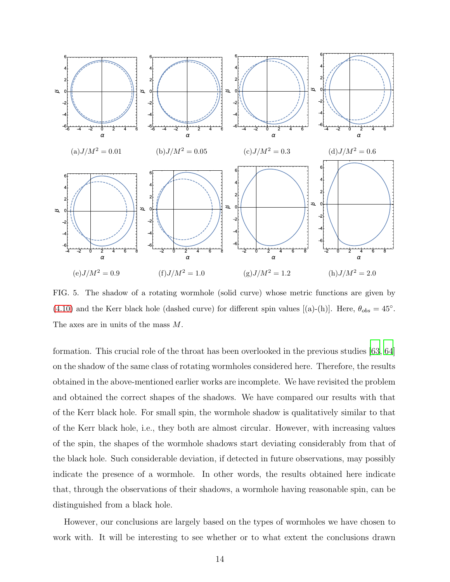

<span id="page-13-0"></span>FIG. 5. The shadow of a rotating wormhole (solid curve) whose metric functions are given by [\(4.10\)](#page-9-2) and the Kerr black hole (dashed curve) for different spin values [(a)-(h)]. Here,  $\theta_{obs} = 45^{\circ}$ . The axes are in units of the mass M.

formation. This crucial role of the throat has been overlooked in the previous studies [\[63,](#page-18-11) [64\]](#page-19-0) on the shadow of the same class of rotating wormholes considered here. Therefore, the results obtained in the above-mentioned earlier works are incomplete. We have revisited the problem and obtained the correct shapes of the shadows. We have compared our results with that of the Kerr black hole. For small spin, the wormhole shadow is qualitatively similar to that of the Kerr black hole, i.e., they both are almost circular. However, with increasing values of the spin, the shapes of the wormhole shadows start deviating considerably from that of the black hole. Such considerable deviation, if detected in future observations, may possibly indicate the presence of a wormhole. In other words, the results obtained here indicate that, through the observations of their shadows, a wormhole having reasonable spin, can be distinguished from a black hole.

However, our conclusions are largely based on the types of wormholes we have chosen to work with. It will be interesting to see whether or to what extent the conclusions drawn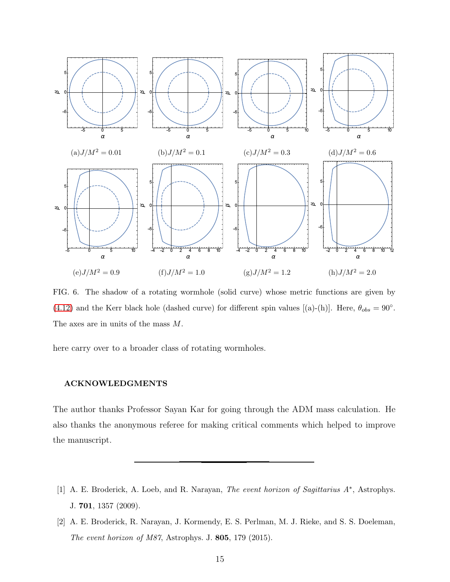

<span id="page-14-1"></span>FIG. 6. The shadow of a rotating wormhole (solid curve) whose metric functions are given by [\(4.12\)](#page-12-2) and the Kerr black hole (dashed curve) for different spin values [(a)-(h)]. Here,  $\theta_{obs} = 90^{\circ}$ . The axes are in units of the mass M.

here carry over to a broader class of rotating wormholes.

#### ACKNOWLEDGMENTS

The author thanks Professor Sayan Kar for going through the ADM mass calculation. He also thanks the anonymous referee for making critical comments which helped to improve the manuscript.

- <span id="page-14-0"></span>[1] A. E. Broderick, A. Loeb, and R. Narayan, The event horizon of Sagittarius A\*, Astrophys. J. 701, 1357 (2009).
- [2] A. E. Broderick, R. Narayan, J. Kormendy, E. S. Perlman, M. J. Rieke, and S. S. Doeleman, The event horizon of M87, Astrophys. J. 805, 179 (2015).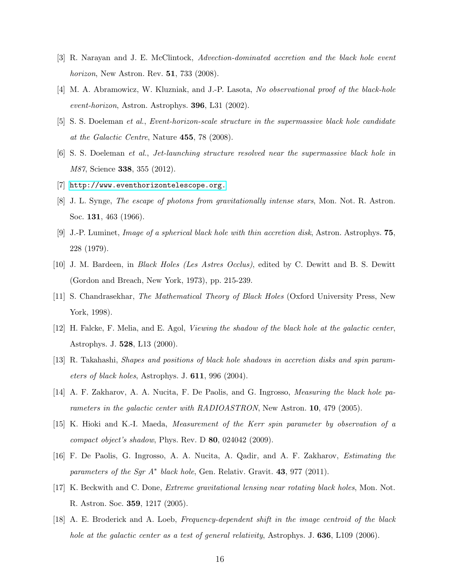- <span id="page-15-0"></span>[3] R. Narayan and J. E. McClintock, Advection-dominated accretion and the black hole event horizon, New Astron. Rev. 51, 733 (2008).
- <span id="page-15-1"></span>[4] M. A. Abramowicz, W. Kluzniak, and J.-P. Lasota, No observational proof of the black-hole event-horizon, Astron. Astrophys. 396, L31 (2002).
- <span id="page-15-2"></span>[5] S. S. Doeleman et al., Event-horizon-scale structure in the supermassive black hole candidate at the Galactic Centre, Nature 455, 78 (2008).
- [6] S. S. Doeleman et al., Jet-launching structure resolved near the supermassive black hole in M87, Science 338, 355 (2012).
- <span id="page-15-4"></span><span id="page-15-3"></span>[7] <http://www.eventhorizontelescope.org.>
- [8] J. L. Synge, The escape of photons from gravitationally intense stars, Mon. Not. R. Astron. Soc. 131, 463 (1966).
- <span id="page-15-5"></span>[9] J.-P. Luminet, Image of a spherical black hole with thin accretion disk, Astron. Astrophys. 75, 228 (1979).
- <span id="page-15-6"></span>[10] J. M. Bardeen, in Black Holes (Les Astres Occlus), edited by C. Dewitt and B. S. Dewitt (Gordon and Breach, New York, 1973), pp. 215-239.
- <span id="page-15-7"></span>[11] S. Chandrasekhar, The Mathematical Theory of Black Holes (Oxford University Press, New York, 1998).
- <span id="page-15-8"></span>[12] H. Falcke, F. Melia, and E. Agol, Viewing the shadow of the black hole at the galactic center, Astrophys. J. 528, L13 (2000).
- [13] R. Takahashi, Shapes and positions of black hole shadows in accretion disks and spin parameters of black holes, Astrophys. J. 611, 996 (2004).
- [14] A. F. Zakharov, A. A. Nucita, F. De Paolis, and G. Ingrosso, Measuring the black hole parameters in the galactic center with RADIOASTRON, New Astron. 10, 479 (2005).
- [15] K. Hioki and K.-I. Maeda, Measurement of the Kerr spin parameter by observation of a compact object's shadow, Phys. Rev. D 80, 024042 (2009).
- [16] F. De Paolis, G. Ingrosso, A. A. Nucita, A. Qadir, and A. F. Zakharov, Estimating the parameters of the Sgr  $A^*$  black hole, Gen. Relativ. Gravit. 43, 977 (2011).
- [17] K. Beckwith and C. Done, Extreme gravitational lensing near rotating black holes, Mon. Not. R. Astron. Soc. 359, 1217 (2005).
- [18] A. E. Broderick and A. Loeb, Frequency-dependent shift in the image centroid of the black hole at the galactic center as a test of general relativity, Astrophys. J. 636, L109 (2006).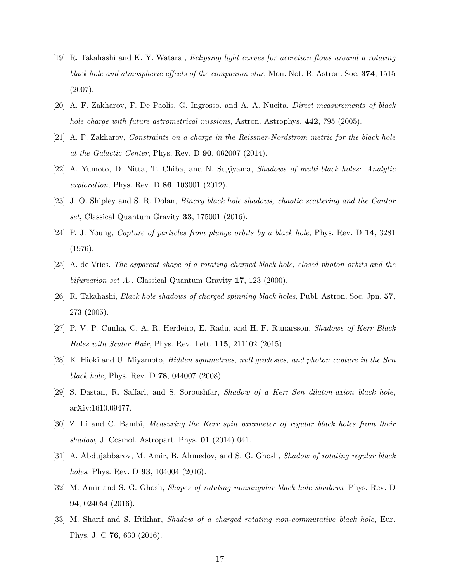- <span id="page-16-0"></span>[19] R. Takahashi and K. Y. Watarai, Eclipsing light curves for accretion flows around a rotating black hole and atmospheric effects of the companion star, Mon. Not. R. Astron. Soc. 374, 1515 (2007).
- <span id="page-16-1"></span>[20] A. F. Zakharov, F. De Paolis, G. Ingrosso, and A. A. Nucita, Direct measurements of black hole charge with future astrometrical missions, Astron. Astrophys. **442**, 795 (2005).
- <span id="page-16-2"></span>[21] A. F. Zakharov, Constraints on a charge in the Reissner-Nordstrom metric for the black hole at the Galactic Center, Phys. Rev. D 90, 062007 (2014).
- <span id="page-16-3"></span>[22] A. Yumoto, D. Nitta, T. Chiba, and N. Sugiyama, Shadows of multi-black holes: Analytic exploration, Phys. Rev. D 86, 103001 (2012).
- <span id="page-16-4"></span>[23] J. O. Shipley and S. R. Dolan, Binary black hole shadows, chaotic scattering and the Cantor set, Classical Quantum Gravity 33, 175001 (2016).
- <span id="page-16-5"></span>[24] P. J. Young, Capture of particles from plunge orbits by a black hole, Phys. Rev. D 14, 3281 (1976).
- [25] A. de Vries, The apparent shape of a rotating charged black hole, closed photon orbits and the bifurcation set  $A_4$ , Classical Quantum Gravity 17, 123 (2000).
- <span id="page-16-6"></span>[26] R. Takahashi, Black hole shadows of charged spinning black holes, Publ. Astron. Soc. Jpn. 57, 273 (2005).
- <span id="page-16-7"></span>[27] P. V. P. Cunha, C. A. R. Herdeiro, E. Radu, and H. F. Runarsson, Shadows of Kerr Black Holes with Scalar Hair, Phys. Rev. Lett. 115, 211102 (2015).
- <span id="page-16-8"></span>[28] K. Hioki and U. Miyamoto, Hidden symmetries, null geodesics, and photon capture in the Sen black hole, Phys. Rev. D 78, 044007 (2008).
- <span id="page-16-9"></span>[29] S. Dastan, R. Saffari, and S. Soroushfar, Shadow of a Kerr-Sen dilaton-axion black hole, arXiv:1610.09477.
- <span id="page-16-10"></span>[30] Z. Li and C. Bambi, Measuring the Kerr spin parameter of regular black holes from their shadow, J. Cosmol. Astropart. Phys.  $01$  (2014) 041.
- [31] A. Abdujabbarov, M. Amir, B. Ahmedov, and S. G. Ghosh, Shadow of rotating regular black holes, Phys. Rev. D **93**, 104004 (2016).
- [32] M. Amir and S. G. Ghosh, Shapes of rotating nonsingular black hole shadows, Phys. Rev. D 94, 024054 (2016).
- [33] M. Sharif and S. Iftikhar, Shadow of a charged rotating non-commutative black hole, Eur. Phys. J. C 76, 630 (2016).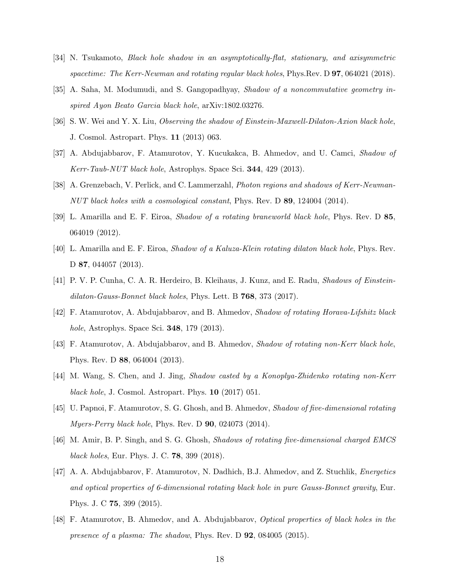- [34] N. Tsukamoto, Black hole shadow in an asymptotically-flat, stationary, and axisymmetric spacetime: The Kerr-Newman and rotating regular black holes, Phys.Rev. D **97**, 064021 (2018).
- <span id="page-17-0"></span>[35] A. Saha, M. Modumudi, and S. Gangopadhyay, Shadow of a noncommutative geometry inspired Ayon Beato Garcia black hole, arXiv:1802.03276.
- <span id="page-17-1"></span>[36] S. W. Wei and Y. X. Liu, Observing the shadow of Einstein-Maxwell-Dilaton-Axion black hole, J. Cosmol. Astropart. Phys. 11 (2013) 063.
- <span id="page-17-2"></span>[37] A. Abdujabbarov, F. Atamurotov, Y. Kucukakca, B. Ahmedov, and U. Camci, Shadow of Kerr-Taub-NUT black hole, Astrophys. Space Sci. 344, 429 (2013).
- <span id="page-17-3"></span>[38] A. Grenzebach, V. Perlick, and C. Lammerzahl, *Photon regions and shadows of Kerr-Newman*-NUT black holes with a cosmological constant, Phys. Rev. D 89, 124004 (2014).
- <span id="page-17-4"></span>[39] L. Amarilla and E. F. Eiroa, Shadow of a rotating braneworld black hole, Phys. Rev. D 85, 064019 (2012).
- <span id="page-17-5"></span>[40] L. Amarilla and E. F. Eiroa, Shadow of a Kaluza-Klein rotating dilaton black hole, Phys. Rev. D 87, 044057 (2013).
- <span id="page-17-6"></span>[41] P. V. P. Cunha, C. A. R. Herdeiro, B. Kleihaus, J. Kunz, and E. Radu, Shadows of Einsteindilaton-Gauss-Bonnet black holes, Phys. Lett. B 768, 373 (2017).
- <span id="page-17-7"></span>[42] F. Atamurotov, A. Abdujabbarov, and B. Ahmedov, Shadow of rotating Horava-Lifshitz black hole, Astrophys. Space Sci. 348, 179 (2013).
- <span id="page-17-8"></span>[43] F. Atamurotov, A. Abdujabbarov, and B. Ahmedov, Shadow of rotating non-Kerr black hole, Phys. Rev. D 88, 064004 (2013).
- <span id="page-17-9"></span>[44] M. Wang, S. Chen, and J. Jing, Shadow casted by a Konoplya-Zhidenko rotating non-Kerr black hole, J. Cosmol. Astropart. Phys. **10** (2017) 051.
- <span id="page-17-10"></span>[45] U. Papnoi, F. Atamurotov, S. G. Ghosh, and B. Ahmedov, Shadow of five-dimensional rotating Myers-Perry black hole, Phys. Rev. D  $90$ , 024073 (2014).
- [46] M. Amir, B. P. Singh, and S. G. Ghosh, Shadows of rotating five-dimensional charged EMCS black holes, Eur. Phys. J. C. 78, 399 (2018).
- <span id="page-17-11"></span>[47] A. A. Abdujabbarov, F. Atamurotov, N. Dadhich, B.J. Ahmedov, and Z. Stuchlik, Energetics and optical properties of 6-dimensional rotating black hole in pure Gauss-Bonnet gravity, Eur. Phys. J. C 75, 399 (2015).
- <span id="page-17-12"></span>[48] F. Atamurotov, B. Ahmedov, and A. Abdujabbarov, Optical properties of black holes in the presence of a plasma: The shadow, Phys. Rev. D 92, 084005 (2015).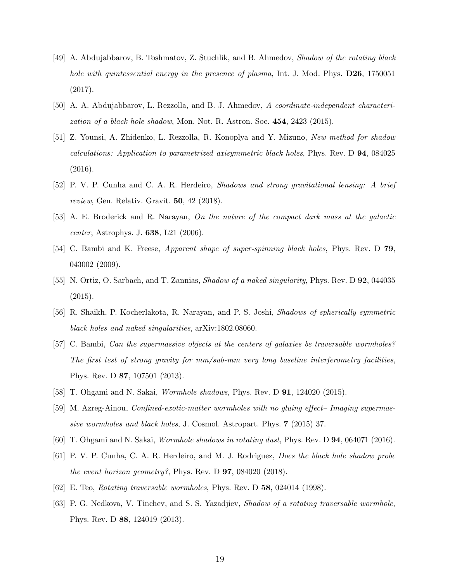- <span id="page-18-0"></span>[49] A. Abdujabbarov, B. Toshmatov, Z. Stuchlik, and B. Ahmedov, Shadow of the rotating black hole with quintessential energy in the presence of plasma, Int. J. Mod. Phys. **D26**, 1750051 (2017).
- <span id="page-18-1"></span>[50] A. A. Abdujabbarov, L. Rezzolla, and B. J. Ahmedov, A coordinate-independent characterization of a black hole shadow, Mon. Not. R. Astron. Soc.  $454$ ,  $2423$  (2015).
- <span id="page-18-2"></span>[51] Z. Younsi, A. Zhidenko, L. Rezzolla, R. Konoplya and Y. Mizuno, New method for shadow calculations: Application to parametrized axisymmetric black holes, Phys. Rev. D 94, 084025 (2016).
- <span id="page-18-3"></span>[52] P. V. P. Cunha and C. A. R. Herdeiro, Shadows and strong gravitational lensing: A brief review, Gen. Relativ. Gravit. 50, 42 (2018).
- <span id="page-18-4"></span>[53] A. E. Broderick and R. Narayan, On the nature of the compact dark mass at the galactic center, Astrophys. J. 638, L21 (2006).
- <span id="page-18-5"></span>[54] C. Bambi and K. Freese, Apparent shape of super-spinning black holes, Phys. Rev. D 79, 043002 (2009).
- [55] N. Ortiz, O. Sarbach, and T. Zannias, Shadow of a naked singularity, Phys. Rev. D 92, 044035 (2015).
- <span id="page-18-6"></span>[56] R. Shaikh, P. Kocherlakota, R. Narayan, and P. S. Joshi, Shadows of spherically symmetric black holes and naked singularities, arXiv:1802.08060.
- <span id="page-18-7"></span>[57] C. Bambi, Can the supermassive objects at the centers of galaxies be traversable wormholes? The first test of strong gravity for mm/sub-mm very long baseline interferometry facilities, Phys. Rev. D 87, 107501 (2013).
- <span id="page-18-12"></span>[58] T. Ohgami and N. Sakai, Wormhole shadows, Phys. Rev. D 91, 124020 (2015).
- [59] M. Azreg-Ainou, Confined-exotic-matter wormholes with no gluing effect– Imaging supermassive wormholes and black holes, J. Cosmol. Astropart. Phys. 7 (2015) 37.
- <span id="page-18-8"></span>[60] T. Ohgami and N. Sakai, Wormhole shadows in rotating dust, Phys. Rev. D 94, 064071 (2016).
- <span id="page-18-9"></span>[61] P. V. P. Cunha, C. A. R. Herdeiro, and M. J. Rodriguez, Does the black hole shadow probe the event horizon geometry?, Phys. Rev. D  $97$ , 084020 (2018).
- <span id="page-18-10"></span>[62] E. Teo, Rotating traversable wormholes, Phys. Rev. D 58, 024014 (1998).
- <span id="page-18-11"></span>[63] P. G. Nedkova, V. Tinchev, and S. S. Yazadjiev, Shadow of a rotating traversable wormhole, Phys. Rev. D 88, 124019 (2013).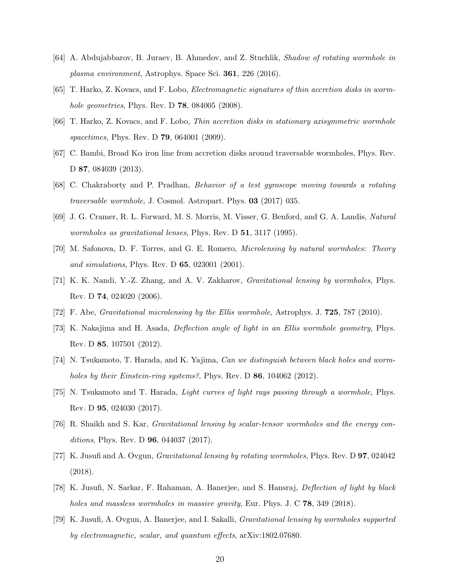- <span id="page-19-0"></span>[64] A. Abdujabbarov, B. Juraev, B. Ahmedov, and Z. Stuchlik, Shadow of rotating wormhole in plasma environment, Astrophys. Space Sci. 361, 226 (2016).
- <span id="page-19-1"></span>[65] T. Harko, Z. Kovacs, and F. Lobo, Electromagnetic signatures of thin accretion disks in wormhole geometries, Phys. Rev. D 78, 084005 (2008).
- <span id="page-19-6"></span>[66] T. Harko, Z. Kovacs, and F. Lobo, Thin accretion disks in stationary axisymmetric wormhole spacetimes, Phys. Rev. D **79**, 064001 (2009).
- <span id="page-19-2"></span>[67] C. Bambi, Broad K $\alpha$  iron line from accretion disks around traversable wormholes, Phys. Rev. D 87, 084039 (2013).
- <span id="page-19-3"></span>[68] C. Chakraborty and P. Pradhan, Behavior of a test gyroscope moving towards a rotating traversable wormhole, J. Cosmol. Astropart. Phys. 03 (2017) 035.
- <span id="page-19-4"></span>[69] J. G. Cramer, R. L. Forward, M. S. Morris, M. Visser, G. Benford, and G. A. Landis, Natural wormholes as gravitational lenses, Phys. Rev. D 51, 3117 (1995).
- [70] M. Safonova, D. F. Torres, and G. E. Romero, Microlensing by natural wormholes: Theory and simulations, Phys. Rev. D 65, 023001 (2001).
- [71] K. K. Nandi, Y.-Z. Zhang, and A. V. Zakharov, Gravitational lensing by wormholes, Phys. Rev. D 74, 024020 (2006).
- [72] F. Abe, Gravitational microlensing by the Ellis wormhole, Astrophys. J. 725, 787 (2010).
- [73] K. Nakajima and H. Asada, Deflection angle of light in an Ellis wormhole geometry, Phys. Rev. D 85, 107501 (2012).
- [74] N. Tsukamoto, T. Harada, and K. Yajima, Can we distinguish between black holes and wormholes by their Einstein-ring systems?, Phys. Rev. D 86, 104062 (2012).
- [75] N. Tsukamoto and T. Harada, Light curves of light rays passing through a wormhole, Phys. Rev. D 95, 024030 (2017).
- [76] R. Shaikh and S. Kar, Gravitational lensing by scalar-tensor wormholes and the energy conditions, Phys. Rev. D **96**, 044037 (2017).
- [77] K. Jusufi and A. Ovgun, Gravitational lensing by rotating wormholes, Phys. Rev. D 97, 024042 (2018).
- [78] K. Jusufi, N. Sarkar, F. Rahaman, A. Banerjee, and S. Hansraj, Deflection of light by black holes and massless wormholes in massive gravity, Eur. Phys. J. C **78**, 349 (2018).
- <span id="page-19-5"></span>[79] K. Jusufi, A. Ovgun, A. Banerjee, and I. Sakalli, Gravitational lensing by wormholes supported by electromagnetic, scalar, and quantum effects, arXiv:1802.07680.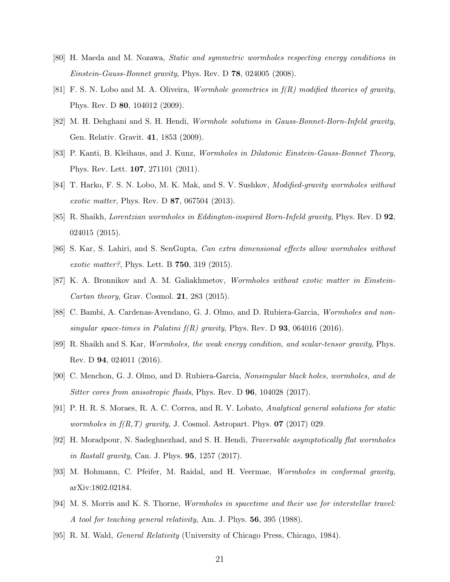- <span id="page-20-0"></span>[80] H. Maeda and M. Nozawa, Static and symmetric wormholes respecting energy conditions in *Einstein-Gauss-Bonnet gravity*, Phys. Rev. D  $78$ , 024005 (2008).
- [81] F. S. N. Lobo and M. A. Oliveira, *Wormhole geometries in*  $f(R)$  *modified theories of gravity*, Phys. Rev. D 80, 104012 (2009).
- [82] M. H. Dehghani and S. H. Hendi, Wormhole solutions in Gauss-Bonnet-Born-Infeld gravity, Gen. Relativ. Gravit. 41, 1853 (2009).
- [83] P. Kanti, B. Kleihaus, and J. Kunz, Wormholes in Dilatonic Einstein-Gauss-Bonnet Theory, Phys. Rev. Lett. 107, 271101 (2011).
- [84] T. Harko, F. S. N. Lobo, M. K. Mak, and S. V. Sushkov, Modified-gravity wormholes without exotic matter, Phys. Rev. D 87, 067504 (2013).
- [85] R. Shaikh, Lorentzian wormholes in Eddington-inspired Born-Infeld gravity, Phys. Rev. D 92, 024015 (2015).
- [86] S. Kar, S. Lahiri, and S. SenGupta, Can extra dimensional effects allow wormholes without exotic matter?, Phys. Lett. B 750, 319 (2015).
- [87] K. A. Bronnikov and A. M. Galiakhmetov, Wormholes without exotic matter in Einstein-Cartan theory, Grav. Cosmol.  $21$ ,  $283$  (2015).
- [88] C. Bambi, A. Cardenas-Avendano, G. J. Olmo, and D. Rubiera-Garcia, Wormholes and nonsingular space-times in Palatini  $f(R)$  gravity, Phys. Rev. D **93**, 064016 (2016).
- [89] R. Shaikh and S. Kar, Wormholes, the weak energy condition, and scalar-tensor gravity, Phys. Rev. D 94, 024011 (2016).
- [90] C. Menchon, G. J. Olmo, and D. Rubiera-Garcia, Nonsingular black holes, wormholes, and de Sitter cores from anisotropic fluids, Phys. Rev. D **96**, 104028 (2017).
- [91] P. H. R. S. Moraes, R. A. C. Correa, and R. V. Lobato, Analytical general solutions for static wormholes in  $f(R,T)$  gravity, J. Cosmol. Astropart. Phys. **07** (2017) 029.
- [92] H. Moradpour, N. Sadeghnezhad, and S. H. Hendi, Traversable asymptotically flat wormholes in Rastall gravity, Can. J. Phys. **95**, 1257 (2017).
- <span id="page-20-1"></span>[93] M. Hohmann, C. Pfeifer, M. Raidal, and H. Veermae, Wormholes in conformal gravity, arXiv:1802.02184.
- <span id="page-20-2"></span>[94] M. S. Morris and K. S. Thorne, Wormholes in spacetime and their use for interstellar travel: A tool for teaching general relativity, Am. J. Phys. 56, 395 (1988).
- <span id="page-20-3"></span>[95] R. M. Wald, General Relativity (University of Chicago Press, Chicago, 1984).